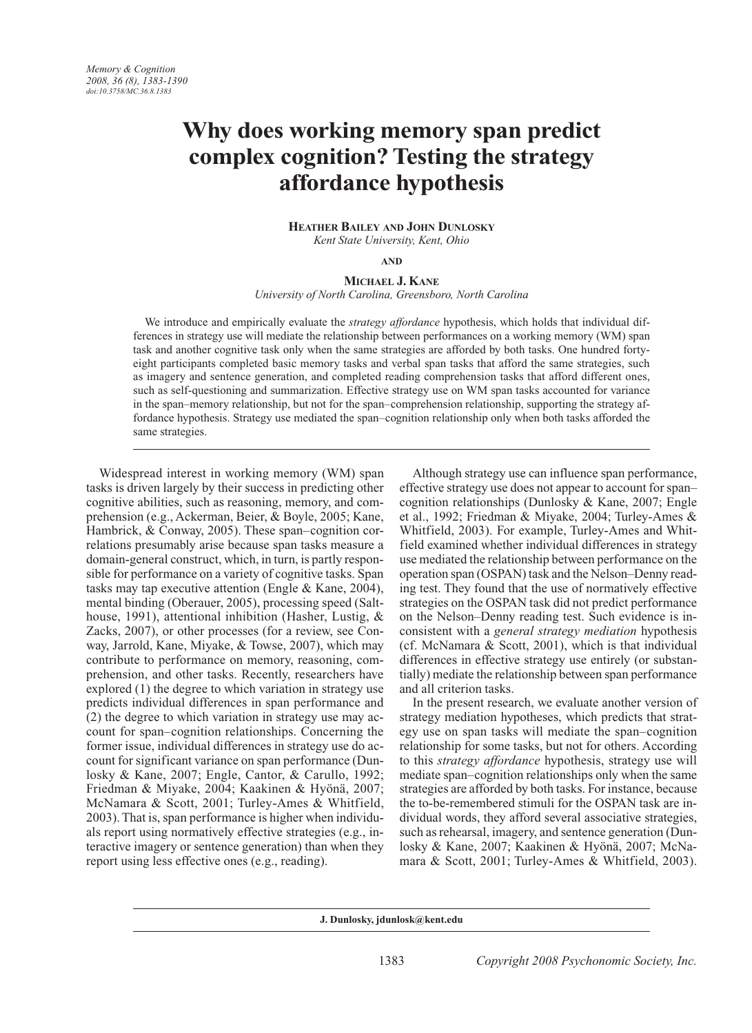# **Why does working memory span predict complex cognition? Testing the strategy affordance hypothesis**

**Heather Bailey and John Dunlosky** *Kent State University, Kent, Ohio*

**and**

# **Michael J. Kane** *University of North Carolina, Greensboro, North Carolina*

We introduce and empirically evaluate the *strategy affordance* hypothesis, which holds that individual differences in strategy use will mediate the relationship between performances on a working memory (WM) span task and another cognitive task only when the same strategies are afforded by both tasks. One hundred fortyeight participants completed basic memory tasks and verbal span tasks that afford the same strategies, such as imagery and sentence generation, and completed reading comprehension tasks that afford different ones, such as self-questioning and summarization. Effective strategy use on WM span tasks accounted for variance in the span–memory relationship, but not for the span–comprehension relationship, supporting the strategy affordance hypothesis. Strategy use mediated the span–cognition relationship only when both tasks afforded the same strategies.

Widespread interest in working memory (WM) span tasks is driven largely by their success in predicting other cognitive abilities, such as reasoning, memory, and comprehension (e.g., Ackerman, Beier, & Boyle, 2005; Kane, Hambrick, & Conway, 2005). These span–cognition correlations presumably arise because span tasks measure a domain-general construct, which, in turn, is partly responsible for performance on a variety of cognitive tasks. Span tasks may tap executive attention (Engle & Kane, 2004), mental binding (Oberauer, 2005), processing speed (Salthouse, 1991), attentional inhibition (Hasher, Lustig, & Zacks, 2007), or other processes (for a review, see Conway, Jarrold, Kane, Miyake, & Towse, 2007), which may contribute to performance on memory, reasoning, comprehension, and other tasks. Recently, researchers have explored (1) the degree to which variation in strategy use predicts individual differences in span performance and (2) the degree to which variation in strategy use may account for span–cognition relationships. Concerning the former issue, individual differences in strategy use do account for significant variance on span performance (Dunlosky & Kane, 2007; Engle, Cantor, & Carullo, 1992; Friedman & Miyake, 2004; Kaakinen & Hyönä, 2007; McNamara & Scott, 2001; Turley-Ames & Whitfield, 2003). That is, span performance is higher when individuals report using normatively effective strategies (e.g., interactive imagery or sentence generation) than when they report using less effective ones (e.g., reading).

Although strategy use can influence span performance, effective strategy use does not appear to account for span– cognition relationships (Dunlosky & Kane, 2007; Engle et al., 1992; Friedman & Miyake, 2004; Turley-Ames & Whitfield, 2003). For example, Turley-Ames and Whitfield examined whether individual differences in strategy use mediated the relationship between performance on the operation span (OSPAN) task and the Nelson–Denny reading test. They found that the use of normatively effective strategies on the OSPAN task did not predict performance on the Nelson–Denny reading test. Such evidence is inconsistent with a *general strategy mediation* hypothesis (cf. McNamara & Scott, 2001), which is that individual differences in effective strategy use entirely (or substantially) mediate the relationship between span performance and all criterion tasks.

In the present research, we evaluate another version of strategy mediation hypotheses, which predicts that strategy use on span tasks will mediate the span–cognition relationship for some tasks, but not for others. According to this *strategy affordance* hypothesis, strategy use will mediate span–cognition relationships only when the same strategies are afforded by both tasks. For instance, because the to-be-remembered stimuli for the OSPAN task are individual words, they afford several associative strategies, such as rehearsal, imagery, and sentence generation (Dunlosky & Kane, 2007; Kaakinen & Hyönä, 2007; McNamara & Scott, 2001; Turley-Ames & Whitfield, 2003).

**J. Dunlosky, jdunlosk@kent.edu**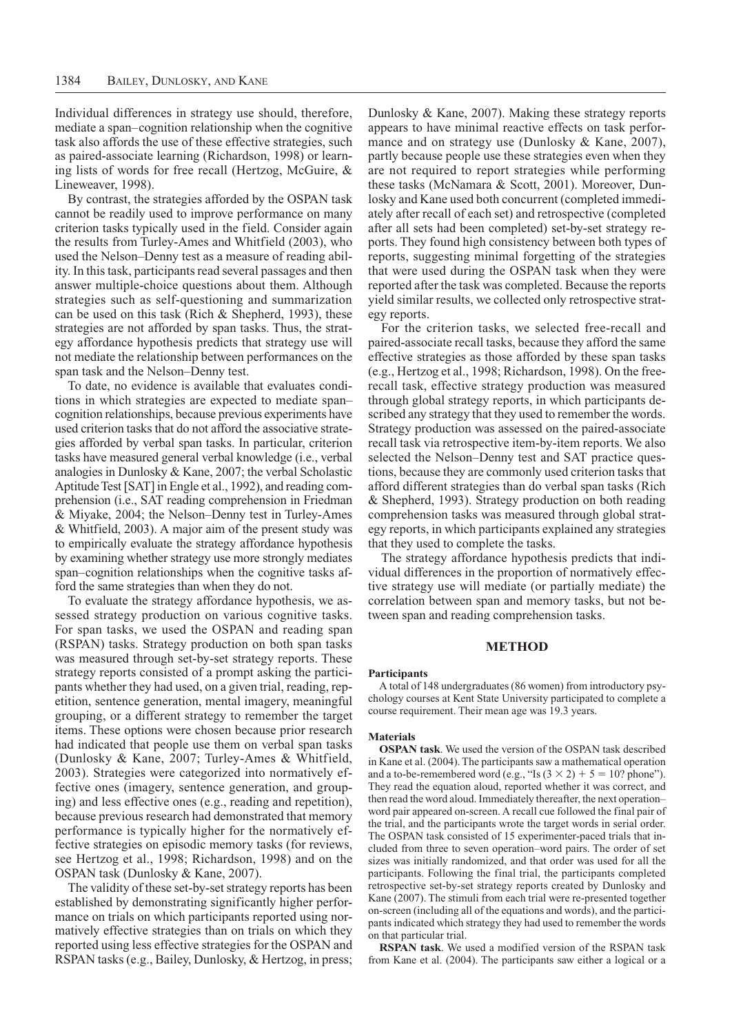Individual differences in strategy use should, therefore, mediate a span–cognition relationship when the cognitive task also affords the use of these effective strategies, such as paired-associate learning (Richardson, 1998) or learning lists of words for free recall (Hertzog, McGuire, & Lineweaver, 1998).

By contrast, the strategies afforded by the OSPAN task cannot be readily used to improve performance on many criterion tasks typically used in the field. Consider again the results from Turley-Ames and Whitfield (2003), who used the Nelson–Denny test as a measure of reading ability. In this task, participants read several passages and then answer multiple-choice questions about them. Although strategies such as self-questioning and summarization can be used on this task (Rich & Shepherd, 1993), these strategies are not afforded by span tasks. Thus, the strategy affordance hypothesis predicts that strategy use will not mediate the relationship between performances on the span task and the Nelson–Denny test.

To date, no evidence is available that evaluates conditions in which strategies are expected to mediate span– cognition relationships, because previous experiments have used criterion tasks that do not afford the associative strategies afforded by verbal span tasks. In particular, criterion tasks have measured general verbal knowledge (i.e., verbal analogies in Dunlosky & Kane, 2007; the verbal Scholastic Aptitude Test [SAT] in Engle et al., 1992), and reading comprehension (i.e., SAT reading comprehension in Friedman & Miyake, 2004; the Nelson–Denny test in Turley-Ames & Whitfield, 2003). A major aim of the present study was to empirically evaluate the strategy affordance hypothesis by examining whether strategy use more strongly mediates span–cognition relationships when the cognitive tasks afford the same strategies than when they do not.

To evaluate the strategy affordance hypothesis, we assessed strategy production on various cognitive tasks. For span tasks, we used the OSPAN and reading span (RSPAN) tasks. Strategy production on both span tasks was measured through set-by-set strategy reports. These strategy reports consisted of a prompt asking the participants whether they had used, on a given trial, reading, repetition, sentence generation, mental imagery, meaningful grouping, or a different strategy to remember the target items. These options were chosen because prior research had indicated that people use them on verbal span tasks (Dunlosky & Kane, 2007; Turley-Ames & Whitfield, 2003). Strategies were categorized into normatively effective ones (imagery, sentence generation, and grouping) and less effective ones (e.g., reading and repetition), because previous research had demonstrated that memory performance is typically higher for the normatively effective strategies on episodic memory tasks (for reviews, see Hertzog et al., 1998; Richardson, 1998) and on the OSPAN task (Dunlosky & Kane, 2007).

The validity of these set-by-set strategy reports has been established by demonstrating significantly higher performance on trials on which participants reported using normatively effective strategies than on trials on which they reported using less effective strategies for the OSPAN and RSPAN tasks (e.g., Bailey, Dunlosky, & Hertzog, in press; Dunlosky & Kane, 2007). Making these strategy reports appears to have minimal reactive effects on task performance and on strategy use (Dunlosky & Kane, 2007), partly because people use these strategies even when they are not required to report strategies while performing these tasks (McNamara & Scott, 2001). Moreover, Dunlosky and Kane used both concurrent (completed immediately after recall of each set) and retrospective (completed after all sets had been completed) set-by-set strategy reports. They found high consistency between both types of reports, suggesting minimal forgetting of the strategies that were used during the OSPAN task when they were reported after the task was completed. Because the reports yield similar results, we collected only retrospective strategy reports.

For the criterion tasks, we selected free-recall and paired-associate recall tasks, because they afford the same effective strategies as those afforded by these span tasks (e.g., Hertzog et al., 1998; Richardson, 1998). On the freerecall task, effective strategy production was measured through global strategy reports, in which participants described any strategy that they used to remember the words. Strategy production was assessed on the paired-associate recall task via retrospective item-by-item reports. We also selected the Nelson–Denny test and SAT practice questions, because they are commonly used criterion tasks that afford different strategies than do verbal span tasks (Rich & Shepherd, 1993). Strategy production on both reading comprehension tasks was measured through global strategy reports, in which participants explained any strategies that they used to complete the tasks.

The strategy affordance hypothesis predicts that individual differences in the proportion of normatively effective strategy use will mediate (or partially mediate) the correlation between span and memory tasks, but not between span and reading comprehension tasks.

## **Method**

#### **Participants**

A total of 148 undergraduates (86 women) from introductory psychology courses at Kent State University participated to complete a course requirement. Their mean age was 19.3 years.

## **Materials**

**OSPAN task**. We used the version of the OSPAN task described in Kane et al. (2004). The participants saw a mathematical operation and a to-be-remembered word (e.g., "Is  $(3 \times 2) + 5 = 10$ ? phone"). They read the equation aloud, reported whether it was correct, and then read the word aloud. Immediately thereafter, the next operation– word pair appeared on-screen. A recall cue followed the final pair of the trial, and the participants wrote the target words in serial order. The OSPAN task consisted of 15 experimenter-paced trials that included from three to seven operation–word pairs. The order of set sizes was initially randomized, and that order was used for all the participants. Following the final trial, the participants completed retrospective set-by-set strategy reports created by Dunlosky and Kane (2007). The stimuli from each trial were re-presented together on-screen (including all of the equations and words), and the participants indicated which strategy they had used to remember the words on that particular trial.

**RSPAN task**. We used a modified version of the RSPAN task from Kane et al. (2004). The participants saw either a logical or a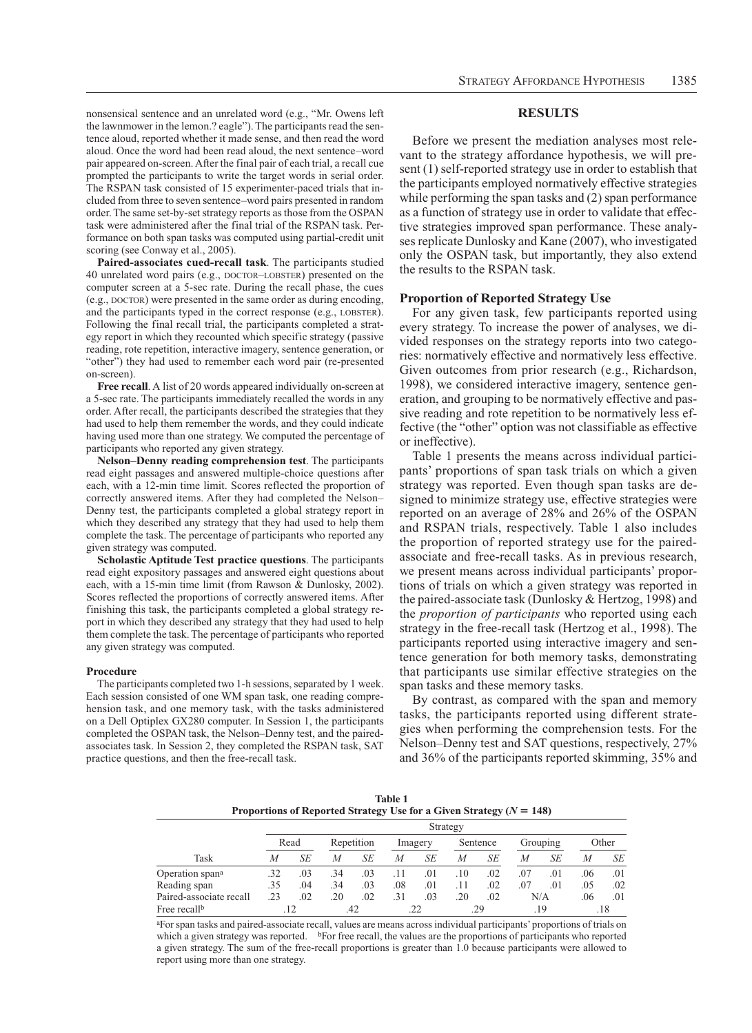nonsensical sentence and an unrelated word (e.g., "Mr. Owens left the lawnmower in the lemon.? eagle"). The participants read the sentence aloud, reported whether it made sense, and then read the word aloud. Once the word had been read aloud, the next sentence–word pair appeared on-screen. After the final pair of each trial, a recall cue prompted the participants to write the target words in serial order. The RSPAN task consisted of 15 experimenter-paced trials that included from three to seven sentence–word pairs presented in random order. The same set-by-set strategy reports as those from the OSPAN task were administered after the final trial of the RSPAN task. Performance on both span tasks was computed using partial-credit unit scoring (see Conway et al., 2005).

**Paired-associates cued-recall task**. The participants studied 40 unrelated word pairs (e.g., DOCTOR-LOBSTER) presented on the computer screen at a 5-sec rate. During the recall phase, the cues (e.g., doctor) were presented in the same order as during encoding, and the participants typed in the correct response (e.g., LOBSTER). Following the final recall trial, the participants completed a strategy report in which they recounted which specific strategy (passive reading, rote repetition, interactive imagery, sentence generation, or "other") they had used to remember each word pair (re-presented on-screen).

**Free recall**. A list of 20 words appeared individually on-screen at a 5-sec rate. The participants immediately recalled the words in any order. After recall, the participants described the strategies that they had used to help them remember the words, and they could indicate having used more than one strategy. We computed the percentage of participants who reported any given strategy.

**Nelson–Denny reading comprehension test**. The participants read eight passages and answered multiple-choice questions after each, with a 12-min time limit. Scores reflected the proportion of correctly answered items. After they had completed the Nelson– Denny test, the participants completed a global strategy report in which they described any strategy that they had used to help them complete the task. The percentage of participants who reported any given strategy was computed.

**Scholastic Aptitude Test practice questions**. The participants read eight expository passages and answered eight questions about each, with a 15-min time limit (from Rawson & Dunlosky, 2002). Scores reflected the proportions of correctly answered items. After finishing this task, the participants completed a global strategy report in which they described any strategy that they had used to help them complete the task. The percentage of participants who reported any given strategy was computed.

#### **Procedure**

The participants completed two 1-h sessions, separated by 1 week. Each session consisted of one WM span task, one reading comprehension task, and one memory task, with the tasks administered on a Dell Optiplex GX280 computer. In Session 1, the participants completed the OSPAN task, the Nelson–Denny test, and the pairedassociates task. In Session 2, they completed the RSPAN task, SAT practice questions, and then the free-recall task.

## **Results**

Before we present the mediation analyses most relevant to the strategy affordance hypothesis, we will present (1) self-reported strategy use in order to establish that the participants employed normatively effective strategies while performing the span tasks and  $(2)$  span performance as a function of strategy use in order to validate that effective strategies improved span performance. These analyses replicate Dunlosky and Kane (2007), who investigated only the OSPAN task, but importantly, they also extend the results to the RSPAN task.

## **Proportion of Reported Strategy Use**

For any given task, few participants reported using every strategy. To increase the power of analyses, we divided responses on the strategy reports into two categories: normatively effective and normatively less effective. Given outcomes from prior research (e.g., Richardson, 1998), we considered interactive imagery, sentence generation, and grouping to be normatively effective and passive reading and rote repetition to be normatively less effective (the "other" option was not classifiable as effective or ineffective).

Table 1 presents the means across individual participants' proportions of span task trials on which a given strategy was reported. Even though span tasks are designed to minimize strategy use, effective strategies were reported on an average of 28% and 26% of the OSPAN and RSPAN trials, respectively. Table 1 also includes the proportion of reported strategy use for the pairedassociate and free-recall tasks. As in previous research, we present means across individual participants' proportions of trials on which a given strategy was reported in the paired-associate task (Dunlosky & Hertzog, 1998) and the *proportion of participants* who reported using each strategy in the free-recall task (Hertzog et al., 1998). The participants reported using interactive imagery and sentence generation for both memory tasks, demonstrating that participants use similar effective strategies on the span tasks and these memory tasks.

By contrast, as compared with the span and memory tasks, the participants reported using different strategies when performing the comprehension tests. For the Nelson–Denny test and SAT questions, respectively, 27% and 36% of the participants reported skimming, 35% and

**Table 1 Proportions of Reported Strategy Use for a Given Strategy (** $N = 148$ **)** 

|                             |     |      |     |            |     |         | Strategy |          |     |          |     |       |
|-----------------------------|-----|------|-----|------------|-----|---------|----------|----------|-----|----------|-----|-------|
|                             |     | Read |     | Repetition |     | Imagery |          | Sentence |     | Grouping |     | Other |
| Task                        | M   | SE   | M   | SЕ         | M   | SЕ      | М        | SЕ       | М   | SE       | М   | SE    |
| Operation span <sup>a</sup> | .32 | .03  | .34 | .03        |     | .01     | .10      | .02      | .07 | .01      | .06 | .01   |
| Reading span                | .35 | .04  | .34 | .03        | .08 | .01     | .11      | .02      | .07 | .01      | .05 | .02   |
| Paired-associate recall     | .23 | .02  | .20 | .02        | .31 | .03     | .20      | .02      |     | N/A      | .06 | .01   |
| Free recall <sup>b</sup>    |     |      |     |            |     |         |          | .29      |     | .19      |     | .18   |

aFor span tasks and paired-associate recall, values are means across individual participants' proportions of trials on which a given strategy was reported. bFor free recall, the values are the proportions of participants who reported a given strategy. The sum of the free-recall proportions is greater than 1.0 because participants were allowed to report using more than one strategy.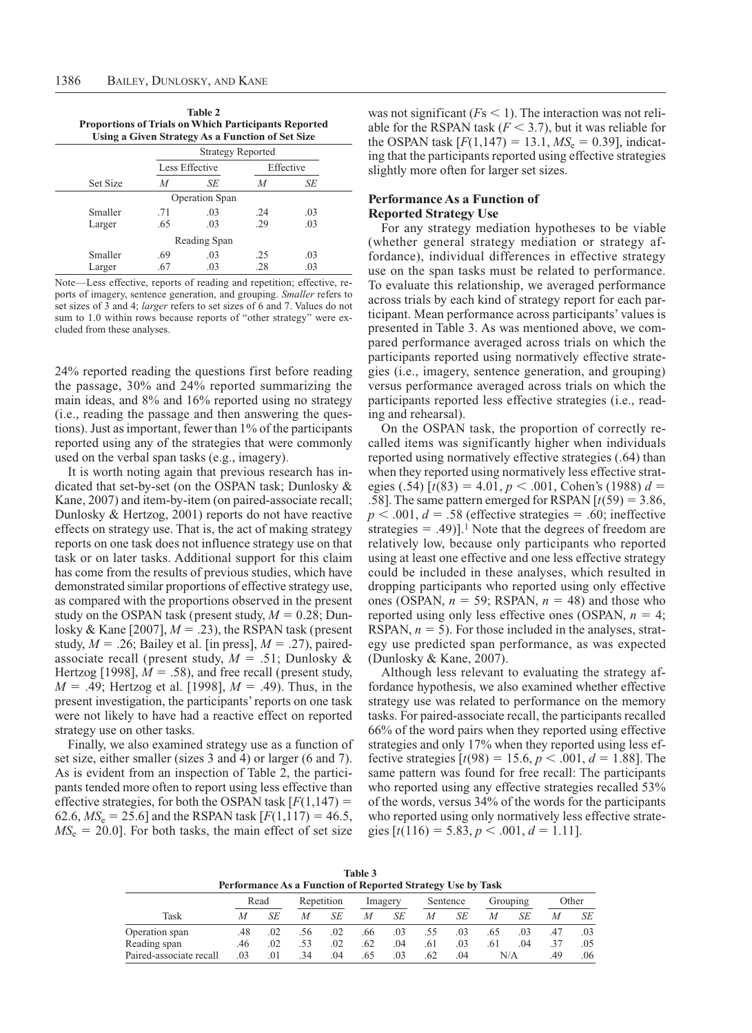| <b>Proportions of Trials on Which Participants Reported</b> |     | <b>Table 2</b><br>Using a Given Strategy As a Function of Set Size |                          |           |  |
|-------------------------------------------------------------|-----|--------------------------------------------------------------------|--------------------------|-----------|--|
|                                                             |     |                                                                    | <b>Strategy Reported</b> |           |  |
|                                                             |     | Less Effective                                                     |                          | Effective |  |
| <b>Set Size</b>                                             | M   | SE                                                                 | M                        | SE        |  |
|                                                             |     | <b>Operation Span</b>                                              |                          |           |  |
| Smaller                                                     | .71 | .03                                                                | 24                       | .03       |  |
| Larger                                                      | .65 | .03                                                                | .29                      | .03       |  |
|                                                             |     | Reading Span                                                       |                          |           |  |
| Smaller                                                     | .69 | .03                                                                | .25                      | .03       |  |
| Larger                                                      | .67 | .03                                                                | .28                      | .03       |  |

Note—Less effective, reports of reading and repetition; effective, reports of imagery, sentence generation, and grouping. *Smaller* refers to set sizes of 3 and 4; *larger* refers to set sizes of 6 and 7. Values do not sum to 1.0 within rows because reports of "other strategy" were excluded from these analyses.

24% reported reading the questions first before reading the passage, 30% and 24% reported summarizing the main ideas, and 8% and 16% reported using no strategy (i.e., reading the passage and then answering the questions). Just as important, fewer than 1% of the participants reported using any of the strategies that were commonly used on the verbal span tasks (e.g., imagery).

It is worth noting again that previous research has indicated that set-by-set (on the OSPAN task; Dunlosky & Kane, 2007) and item-by-item (on paired-associate recall; Dunlosky & Hertzog, 2001) reports do not have reactive effects on strategy use. That is, the act of making strategy reports on one task does not influence strategy use on that task or on later tasks. Additional support for this claim has come from the results of previous studies, which have demonstrated similar proportions of effective strategy use, as compared with the proportions observed in the present study on the OSPAN task (present study,  $M = 0.28$ ; Dunlosky & Kane [2007],  $M = .23$ ), the RSPAN task (present study,  $M = .26$ ; Bailey et al. [in press],  $M = .27$ ), pairedassociate recall (present study,  $M = .51$ ; Dunlosky & Hertzog [1998],  $M = .58$ ), and free recall (present study,  $M = .49$ ; Hertzog et al. [1998],  $M = .49$ ). Thus, in the present investigation, the participants' reports on one task were not likely to have had a reactive effect on reported strategy use on other tasks.

Finally, we also examined strategy use as a function of set size, either smaller (sizes 3 and 4) or larger (6 and 7). As is evident from an inspection of Table 2, the participants tended more often to report using less effective than effective strategies, for both the OSPAN task  $[F(1,147) =$ 62.6,  $MS_e = 25.6$ ] and the RSPAN task  $[F(1,117) = 46.5,$  $MS_e = 20.0$ ]. For both tasks, the main effect of set size

was not significant  $(Fs \le 1)$ . The interaction was not reliable for the RSPAN task  $(F < 3.7)$ , but it was reliable for the OSPAN task  $[F(1,147) = 13.1, M S<sub>e</sub> = 0.39]$ , indicating that the participants reported using effective strategies slightly more often for larger set sizes.

# **Performance As a Function of Reported Strategy Use**

For any strategy mediation hypotheses to be viable (whether general strategy mediation or strategy affordance), individual differences in effective strategy use on the span tasks must be related to performance. To evaluate this relationship, we averaged performance across trials by each kind of strategy report for each participant. Mean performance across participants' values is presented in Table 3. As was mentioned above, we compared performance averaged across trials on which the participants reported using normatively effective strategies (i.e., imagery, sentence generation, and grouping) versus performance averaged across trials on which the participants reported less effective strategies (i.e., reading and rehearsal).

On the OSPAN task, the proportion of correctly recalled items was significantly higher when individuals reported using normatively effective strategies (.64) than when they reported using normatively less effective strategies (.54)  $[t(83) = 4.01, p < .001, \text{ Cohen's (1988)} d =$ .58]. The same pattern emerged for RSPAN  $[t(59) = 3.86]$ ,  $p < .001$ ,  $d = .58$  (effective strategies = .60; ineffective strategies = .49)].<sup>1</sup> Note that the degrees of freedom are relatively low, because only participants who reported using at least one effective and one less effective strategy could be included in these analyses, which resulted in dropping participants who reported using only effective ones (OSPAN,  $n = 59$ ; RSPAN,  $n = 48$ ) and those who reported using only less effective ones (OSPAN,  $n = 4$ ; RSPAN,  $n = 5$ ). For those included in the analyses, strategy use predicted span performance, as was expected (Dunlosky & Kane, 2007).

Although less relevant to evaluating the strategy affordance hypothesis, we also examined whether effective strategy use was related to performance on the memory tasks. For paired-associate recall, the participants recalled 66% of the word pairs when they reported using effective strategies and only 17% when they reported using less effective strategies  $[t(98) = 15.6, p < .001, d = 1.88]$ . The same pattern was found for free recall: The participants who reported using any effective strategies recalled 53% of the words, versus 34% of the words for the participants who reported using only normatively less effective strategies  $[t(116) = 5.83, p < .001, d = 1.11]$ .

| Table 3                                                           |
|-------------------------------------------------------------------|
| <b>Performance As a Function of Reported Strategy Use by Task</b> |

|                         | $- - - -$ |      |     |            |     |         |     |          |     |          |     |       |
|-------------------------|-----------|------|-----|------------|-----|---------|-----|----------|-----|----------|-----|-------|
|                         |           | Read |     | Repetition |     | Imagery |     | Sentence |     | Grouping |     | Other |
| Task                    | М         | SE   | М   | SЕ         | М   | SЕ      | M   | SЕ       | M   | SЕ       | М   | SE    |
| Operation span          | 48        | .02  | .56 | .02        | .66 | .03     | .55 | .03      | .65 | .03      | .47 | .03   |
| Reading span            | .46       | .02  | .53 | .02        | .62 | .04     | .61 | .03      | .61 | .04      | .37 | .05   |
| Paired-associate recall | .03       | .01  | 34  | .04        | .65 | .03     | .62 | .04      |     | N/A      | 49  | .06   |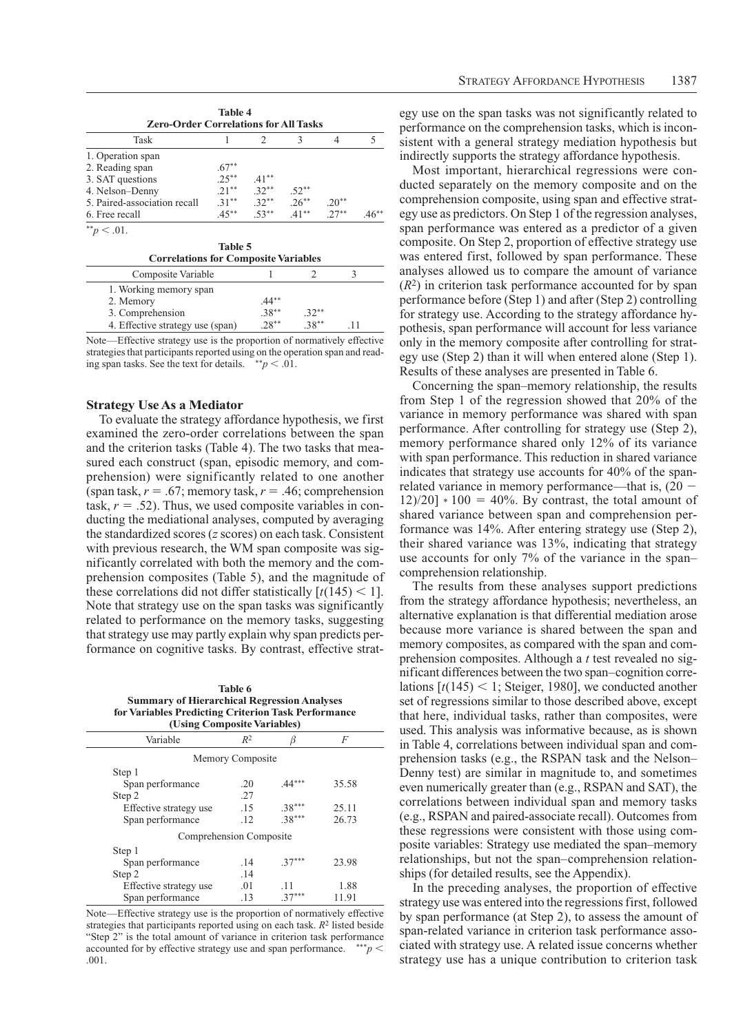| Task                         |          |                                  | 3             |         |  |
|------------------------------|----------|----------------------------------|---------------|---------|--|
| 1. Operation span            |          |                                  |               |         |  |
| 2. Reading span              | $.67**$  |                                  |               |         |  |
| 3. SAT questions             | $.25***$ | $.41***$                         |               |         |  |
| 4. Nelson-Denny              | $.21***$ | $.32***$                         | $.52**$       |         |  |
| 5. Paired-association recall |          | $.31^{**}$ $.32^{**}$ $.26^{**}$ |               | $.20**$ |  |
| 6. Free recall               | $.45***$ | $53***$                          | $41***$ 2.7** |         |  |
| $*^*p$ < .01.                |          |                                  |               |         |  |

| Correlations for Composite variables |           |          |  |
|--------------------------------------|-----------|----------|--|
| Composite Variable                   |           |          |  |
| 1. Working memory span               |           |          |  |
| 2. Memory                            | $.44***$  |          |  |
| 3. Comprehension                     | $.38***$  | $.32***$ |  |
| 4. Effective strategy use (span)     | $28^{**}$ | $38**$   |  |
|                                      |           |          |  |

Note—Effective strategy use is the proportion of normatively effective strategies that participants reported using on the operation span and reading span tasks. See the text for details.  $*^*p < .01$ .

## **Strategy Use As a Mediator**

To evaluate the strategy affordance hypothesis, we first examined the zero-order correlations between the span and the criterion tasks (Table 4). The two tasks that measured each construct (span, episodic memory, and comprehension) were significantly related to one another (span task,  $r = .67$ ; memory task,  $r = .46$ ; comprehension task,  $r = .52$ ). Thus, we used composite variables in conducting the mediational analyses, computed by averaging the standardized scores (*z* scores) on each task. Consistent with previous research, the WM span composite was significantly correlated with both the memory and the comprehension composites (Table 5), and the magnitude of these correlations did not differ statistically  $\lceil t(145) \rceil$ . Note that strategy use on the span tasks was significantly related to performance on the memory tasks, suggesting that strategy use may partly explain why span predicts performance on cognitive tasks. By contrast, effective strat-

**Table 6 Summary of Hierarchical Regression Analyses for Variables Predicting Criterion Task Performance** 

| (Using Composite Variables) |                  |          |       |  |  |  |  |
|-----------------------------|------------------|----------|-------|--|--|--|--|
| Variable                    | $R^2$            | β        | F     |  |  |  |  |
|                             | Memory Composite |          |       |  |  |  |  |
| Step 1                      |                  |          |       |  |  |  |  |
| Span performance            | .20              | $.44***$ | 35.58 |  |  |  |  |
| Step 2                      | $-27$            |          |       |  |  |  |  |
| Effective strategy use      | .15              | $.38***$ | 25.11 |  |  |  |  |
| Span performance            | .12              | $.38***$ | 26.73 |  |  |  |  |
| Comprehension Composite     |                  |          |       |  |  |  |  |
| Step 1                      |                  |          |       |  |  |  |  |
| Span performance            | .14              | $.37***$ | 23.98 |  |  |  |  |
| Step 2                      | .14              |          |       |  |  |  |  |
| Effective strategy use      | .01              | .11      | 1.88  |  |  |  |  |
| Span performance            | .13              |          | 11.91 |  |  |  |  |

Note—Effective strategy use is the proportion of normatively effective strategies that participants reported using on each task. *R*2 listed beside "Step 2" is the total amount of variance in criterion task performance accounted for by effective strategy use and span performance.  $***\,p$   $\lt$ .001.

egy use on the span tasks was not significantly related to performance on the comprehension tasks, which is inconsistent with a general strategy mediation hypothesis but indirectly supports the strategy affordance hypothesis.

Most important, hierarchical regressions were conducted separately on the memory composite and on the comprehension composite, using span and effective strategy use as predictors. On Step 1 of the regression analyses, span performance was entered as a predictor of a given composite. On Step 2, proportion of effective strategy use was entered first, followed by span performance. These analyses allowed us to compare the amount of variance  $(R<sup>2</sup>)$  in criterion task performance accounted for by span performance before (Step 1) and after (Step 2) controlling for strategy use. According to the strategy affordance hypothesis, span performance will account for less variance only in the memory composite after controlling for strategy use (Step 2) than it will when entered alone (Step 1). Results of these analyses are presented in Table 6.

Concerning the span–memory relationship, the results from Step 1 of the regression showed that 20% of the variance in memory performance was shared with span performance. After controlling for strategy use (Step 2), memory performance shared only 12% of its variance with span performance. This reduction in shared variance indicates that strategy use accounts for 40% of the spanrelated variance in memory performance—that is,  $(20 12/20$ ] \*  $100 = 40\%$ . By contrast, the total amount of shared variance between span and comprehension performance was 14%. After entering strategy use (Step 2), their shared variance was 13%, indicating that strategy use accounts for only 7% of the variance in the span– comprehension relationship.

The results from these analyses support predictions from the strategy affordance hypothesis; nevertheless, an alternative explanation is that differential mediation arose because more variance is shared between the span and memory composites, as compared with the span and comprehension composites. Although a *t* test revealed no significant differences between the two span–cognition correlations  $[t(145) < 1;$  Steiger, 1980], we conducted another set of regressions similar to those described above, except that here, individual tasks, rather than composites, were used. This analysis was informative because, as is shown in Table 4, correlations between individual span and comprehension tasks (e.g., the RSPAN task and the Nelson– Denny test) are similar in magnitude to, and sometimes even numerically greater than (e.g., RSPAN and SAT), the correlations between individual span and memory tasks (e.g., RSPAN and paired-associate recall). Outcomes from these regressions were consistent with those using composite variables: Strategy use mediated the span–memory relationships, but not the span–comprehension relationships (for detailed results, see the Appendix).

In the preceding analyses, the proportion of effective strategy use was entered into the regressions first, followed by span performance (at Step 2), to assess the amount of span-related variance in criterion task performance associated with strategy use. A related issue concerns whether strategy use has a unique contribution to criterion task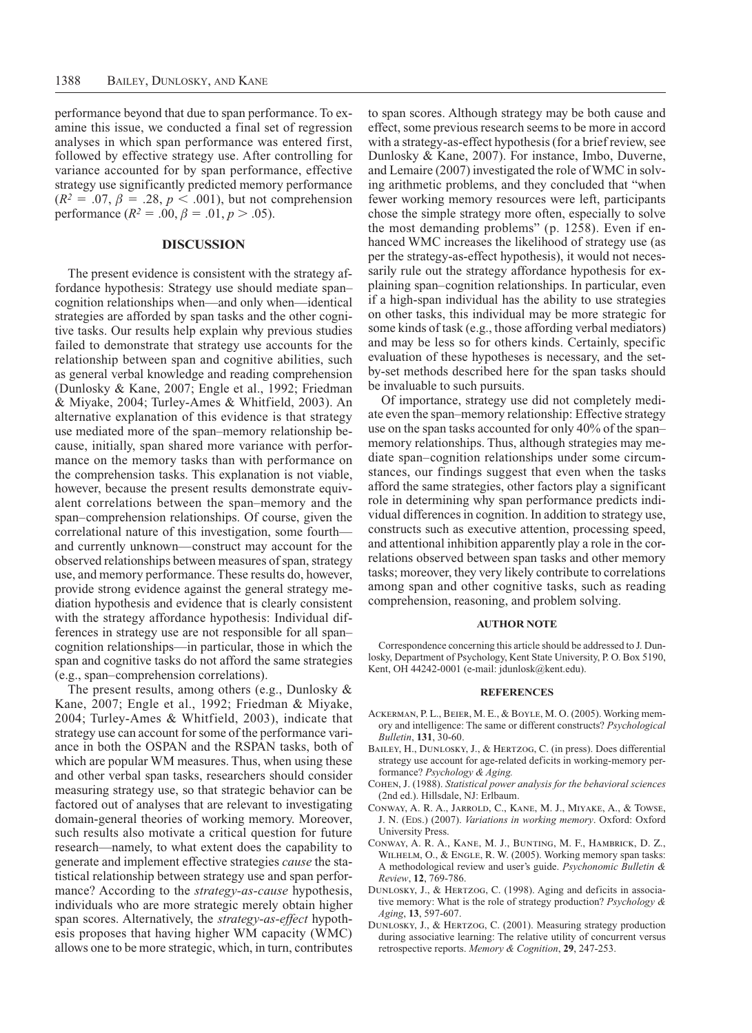performance beyond that due to span performance. To examine this issue, we conducted a final set of regression analyses in which span performance was entered first, followed by effective strategy use. After controlling for variance accounted for by span performance, effective strategy use significantly predicted memory performance  $(R^2 = .07, \beta = .28, p < .001)$ , but not comprehension performance  $(R^2 = .00, \beta = .01, p > .05)$ .

# **Discussion**

The present evidence is consistent with the strategy affordance hypothesis: Strategy use should mediate span– cognition relationships when—and only when—identical strategies are afforded by span tasks and the other cognitive tasks. Our results help explain why previous studies failed to demonstrate that strategy use accounts for the relationship between span and cognitive abilities, such as general verbal knowledge and reading comprehension (Dunlosky & Kane, 2007; Engle et al., 1992; Friedman & Miyake, 2004; Turley-Ames & Whitfield, 2003). An alternative explanation of this evidence is that strategy use mediated more of the span–memory relationship because, initially, span shared more variance with performance on the memory tasks than with performance on the comprehension tasks. This explanation is not viable, however, because the present results demonstrate equivalent correlations between the span–memory and the span–comprehension relationships. Of course, given the correlational nature of this investigation, some fourth and currently unknown—construct may account for the observed relationships between measures of span, strategy use, and memory performance. These results do, however, provide strong evidence against the general strategy mediation hypothesis and evidence that is clearly consistent with the strategy affordance hypothesis: Individual differences in strategy use are not responsible for all span– cognition relationships—in particular, those in which the span and cognitive tasks do not afford the same strategies (e.g., span–comprehension correlations).

The present results, among others (e.g., Dunlosky & Kane, 2007; Engle et al., 1992; Friedman & Miyake, 2004; Turley-Ames & Whitfield, 2003), indicate that strategy use can account for some of the performance variance in both the OSPAN and the RSPAN tasks, both of which are popular WM measures. Thus, when using these and other verbal span tasks, researchers should consider measuring strategy use, so that strategic behavior can be factored out of analyses that are relevant to investigating domain-general theories of working memory. Moreover, such results also motivate a critical question for future research—namely, to what extent does the capability to generate and implement effective strategies *cause* the statistical relationship between strategy use and span performance? According to the *strategy-as-cause* hypothesis, individuals who are more strategic merely obtain higher span scores. Alternatively, the *strategy-as-effect* hypothesis proposes that having higher WM capacity (WMC) allows one to be more strategic, which, in turn, contributes

to span scores. Although strategy may be both cause and effect, some previous research seems to be more in accord with a strategy-as-effect hypothesis (for a brief review, see Dunlosky & Kane, 2007). For instance, Imbo, Duverne, and Lemaire (2007) investigated the role of WMC in solving arithmetic problems, and they concluded that "when fewer working memory resources were left, participants chose the simple strategy more often, especially to solve the most demanding problems" (p. 1258). Even if enhanced WMC increases the likelihood of strategy use (as per the strategy-as-effect hypothesis), it would not necessarily rule out the strategy affordance hypothesis for explaining span–cognition relationships. In particular, even if a high-span individual has the ability to use strategies on other tasks, this individual may be more strategic for some kinds of task (e.g., those affording verbal mediators) and may be less so for others kinds. Certainly, specific evaluation of these hypotheses is necessary, and the setby-set methods described here for the span tasks should be invaluable to such pursuits.

Of importance, strategy use did not completely mediate even the span–memory relationship: Effective strategy use on the span tasks accounted for only 40% of the span– memory relationships. Thus, although strategies may mediate span–cognition relationships under some circumstances, our findings suggest that even when the tasks afford the same strategies, other factors play a significant role in determining why span performance predicts individual differences in cognition. In addition to strategy use, constructs such as executive attention, processing speed, and attentional inhibition apparently play a role in the correlations observed between span tasks and other memory tasks; moreover, they very likely contribute to correlations among span and other cognitive tasks, such as reading comprehension, reasoning, and problem solving.

## **Author Note**

Correspondence concerning this article should be addressed to J. Dunlosky, Department of Psychology, Kent State University, P. O. Box 5190, Kent, OH 44242-0001 (e-mail: jdunlosk@kent.edu).

#### **References**

- Ackerman, P. L., Beier, M. E., & Boyle, M. O. (2005). Working memory and intelligence: The same or different constructs? *Psychological Bulletin*, **131**, 30-60.
- Bailey, H., Dunlosky, J., & Hertzog, C. (in press). Does differential strategy use account for age-related deficits in working-memory performance? *Psychology & Aging.*
- Cohen, J. (1988). *Statistical power analysis for the behavioral sciences* (2nd ed.). Hillsdale, NJ: Erlbaum.
- Conway, A. R. A., Jarrold, C., Kane, M. J., Miyake, A., & Towse, J. N. (EDS.) (2007). *Variations in working memory*. Oxford: Oxford University Press.
- Conway, A. R. A., Kane, M. J., Bunting, M. F., Hambrick, D. Z., Wilhelm, O., & Engle, R. W. (2005). Working memory span tasks: A methodological review and user's guide. *Psychonomic Bulletin & Review*, **12**, 769-786.
- DUNLOSKY, J., & HERTZOG, C. (1998). Aging and deficits in associative memory: What is the role of strategy production? *Psychology & Aging*, **13**, 597-607.
- Dunlosky, J., & Hertzog, C. (2001). Measuring strategy production during associative learning: The relative utility of concurrent versus retrospective reports. *Memory & Cognition*, **29**, 247-253.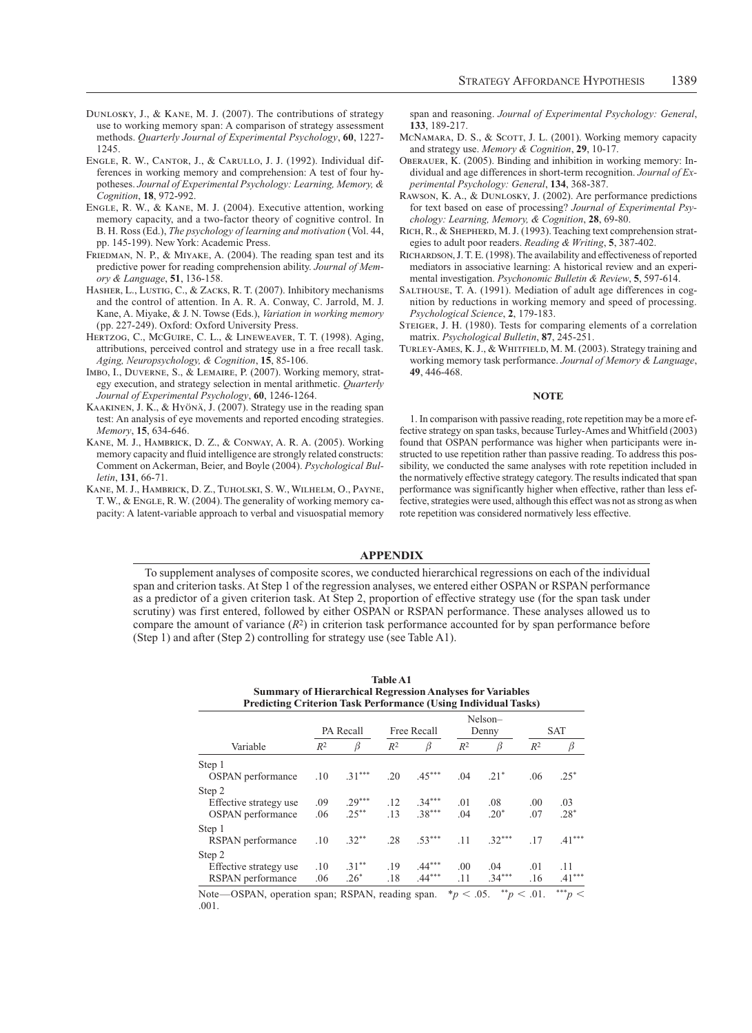- Dunlosky, J., & Kane, M. J. (2007). The contributions of strategy use to working memory span: A comparison of strategy assessment methods. *Quarterly Journal of Experimental Psychology*, **60**, 1227- 1245.
- Engle, R. W., Cantor, J., & Carullo, J. J. (1992). Individual differences in working memory and comprehension: A test of four hypotheses. *Journal of Experimental Psychology: Learning, Memory, & Cognition*, **18**, 972-992.
- Engle, R. W., & Kane, M. J. (2004). Executive attention, working memory capacity, and a two-factor theory of cognitive control. In B. H. Ross (Ed.), *The psychology of learning and motivation* (Vol. 44, pp. 145-199). New York: Academic Press.
- FRIEDMAN, N. P., & MIYAKE, A. (2004). The reading span test and its predictive power for reading comprehension ability. *Journal of Memory & Language*, **51**, 136-158.
- HASHER, L., LUSTIG, C., & ZACKS, R. T. (2007). Inhibitory mechanisms and the control of attention. In A. R. A. Conway, C. Jarrold, M. J. Kane, A. Miyake, & J. N. Towse (Eds.), *Variation in working memory* (pp. 227-249). Oxford: Oxford University Press.
- HERTZOG, C., McGUIRE, C. L., & LINEWEAVER, T. T. (1998). Aging, attributions, perceived control and strategy use in a free recall task. *Aging, Neuropsychology, & Cognition*, **15**, 85-106.
- Imbo, I., Duverne, S., & Lemaire, P. (2007). Working memory, strategy execution, and strategy selection in mental arithmetic. *Quarterly Journal of Experimental Psychology*, **60**, 1246-1264.
- Kaakinen, J. K., & Hyönä, J. (2007). Strategy use in the reading span test: An analysis of eye movements and reported encoding strategies. *Memory*, **15**, 634-646.
- Kane, M. J., Hambrick, D. Z., & Conway, A. R. A. (2005). Working memory capacity and fluid intelligence are strongly related constructs: Comment on Ackerman, Beier, and Boyle (2004). *Psychological Bulletin*, **131**, 66-71.
- Kane, M. J., Hambrick, D. Z., Tuholski, S. W., Wilhelm, O., Payne, T. W., & ENGLE, R. W. (2004). The generality of working memory capacity: A latent-variable approach to verbal and visuospatial memory

span and reasoning. *Journal of Experimental Psychology: General*, **133**, 189-217.

- McNamara, D. S., & Scorr, J. L. (2001). Working memory capacity and strategy use. *Memory & Cognition*, **29**, 10-17.
- Oberauer, K. (2005). Binding and inhibition in working memory: Individual and age differences in short-term recognition. *Journal of Experimental Psychology: General*, **134**, 368-387.
- Rawson, K. A., & Dunlosky, J. (2002). Are performance predictions for text based on ease of processing? *Journal of Experimental Psychology: Learning, Memory, & Cognition*, **28**, 69-80.
- RICH, R., & SHEPHERD, M. J. (1993). Teaching text comprehension strategies to adult poor readers. *Reading & Writing*, **5**, 387-402.
- Richardson, J. T. E. (1998). The availability and effectiveness of reported mediators in associative learning: A historical review and an experimental investigation. *Psychonomic Bulletin & Review*, **5**, 597-614.
- Salthouse, T. A. (1991). Mediation of adult age differences in cognition by reductions in working memory and speed of processing. *Psychological Science*, **2**, 179-183.
- Steiger, J. H. (1980). Tests for comparing elements of a correlation matrix. *Psychological Bulletin*, **87**, 245-251.
- TURLEY-AMES, K. J., & WHITFIELD, M. M. (2003). Strategy training and working memory task performance. *Journal of Memory & Language*, **49**, 446-468.

## **Note**

1. In comparison with passive reading, rote repetition may be a more effective strategy on span tasks, because Turley-Ames and Whitfield (2003) found that OSPAN performance was higher when participants were instructed to use repetition rather than passive reading. To address this possibility, we conducted the same analyses with rote repetition included in the normatively effective strategy category. The results indicated that span performance was significantly higher when effective, rather than less effective, strategies were used, although this effect was not as strong as when rote repetition was considered normatively less effective.

#### **Appendix**

To supplement analyses of composite scores, we conducted hierarchical regressions on each of the individual span and criterion tasks. At Step 1 of the regression analyses, we entered either OSPAN or RSPAN performance as a predictor of a given criterion task. At Step 2, proportion of effective strategy use (for the span task under scrutiny) was first entered, followed by either OSPAN or RSPAN performance. These analyses allowed us to compare the amount of variance  $(R^2)$  in criterion task performance accounted for by span performance before (Step 1) and after (Step 2) controlling for strategy use (see Table A1).

| <b>Table A1</b>                                                       |
|-----------------------------------------------------------------------|
| <b>Summary of Hierarchical Regression Analyses for Variables</b>      |
| <b>Predicting Criterion Task Performance (Using Individual Tasks)</b> |

|                                                       |            | PA Recall            |            | Free Recall          |                              | Nelson-<br>Denny | <b>SAT</b> |                 |
|-------------------------------------------------------|------------|----------------------|------------|----------------------|------------------------------|------------------|------------|-----------------|
| Variable                                              | $R^2$      | ß                    | $R^2$      | β                    | $R^2$                        | β                | $R^2$      | β               |
| Step 1<br><b>OSPAN</b> performance                    | .10        | $.31***$             | .20        | $.45***$             | .04                          | $21*$            | .06        | $.25*$          |
| Step 2<br>Effective strategy use<br>OSPAN performance | .09<br>.06 | $.29***$<br>$.25***$ | .12<br>.13 | $.34***$<br>$.38***$ | .01<br>.04                   | .08<br>$.20*$    | .00<br>.07 | .03<br>$.28*$   |
| Step 1<br>RSPAN performance                           | .10        | $.32**$              | .28        | $.53***$             | .11                          | $.32***$         | .17        | $.41***$        |
| Step 2<br>Effective strategy use<br>RSPAN performance | .10<br>.06 | $.31***$<br>$.26*$   | .19<br>.18 | $.44***$<br>$.44***$ | .00<br>.11                   | .04<br>$.34***$  | .01<br>.16 | .11<br>$.41***$ |
| $\mathbf{r}$ $\alpha$ $\alpha$                        |            | $P(T+1)$             | $\cdot$    |                      | als:<br>$\sim$ $\sim$ $\sim$ | **               | $\sim$ 0.1 | ***             |

Note—OSPAN, operation span; RSPAN, reading span.  $*_p$  < .05.  $^{*_p}$  < .01.  $^{**_p}$  < .001.